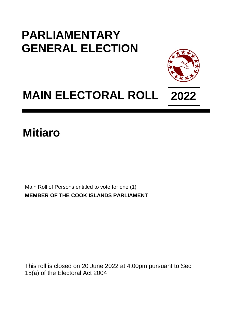## **PARLIAMENTARY GENERAL ELECTION**



## **MAIN ELECTORAL ROLL 2022**

## **Mitiaro**

Main Roll of Persons entitled to vote for one (1) **MEMBER OF THE COOK ISLANDS PARLIAMENT**

This roll is closed on 20 June 2022 at 4.00pm pursuant to Sec 15(a) of the Electoral Act 2004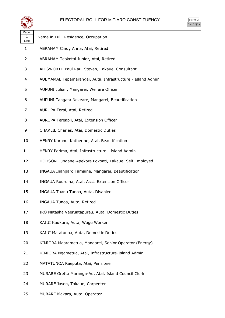

| orm |
|-----|
| . . |

| પ∓≠У              |                                                            |
|-------------------|------------------------------------------------------------|
| Page<br>1<br>Line | Name in Full, Residence, Occupation                        |
| 1                 | ABRAHAM Cindy Anna, Atai, Retired                          |
| 2                 | ABRAHAM Teokotai Junior, Atai, Retired                     |
| 3                 | ALLSWORTH Paul Raui Steven, Takaue, Consultant             |
| 4                 | AUEMAMAE Tepamarangai, Auta, Infrastructure - Island Admin |
| 5                 | AUPUNI Julian, Mangarei, Welfare Officer                   |
| 6                 | AUPUNI Tangata Nekeare, Mangarei, Beautification           |
| 7                 | AURUPA Terai, Atai, Retired                                |
| 8                 | AURUPA Tereapii, Atai, Extension Officer                   |
| 9                 | CHARLIE Charles, Atai, Domestic Duties                     |
| 10                | HENRY Koronui Katherine, Atai, Beautification              |
| 11                | HENRY Porima, Atai, Infrastructure - Island Admin          |
| 12                | HODSON Tungane-Apekore Pokoati, Takaue, Self Employed      |
| 13                | INGAUA Inangaro Tamaine, Mangarei, Beautification          |
| 14                | INGAUA Rouruina, Atai, Asst. Extension Officer             |
| 15                | INGAUA Tuanu Tunoa, Auta, Disabled                         |
| 16                | INGAUA Tunoa, Auta, Retired                                |
| 17                | IRO Natasha Vaeruatapureu, Auta, Domestic Duties           |
| 18                | KAIUI Kaukura, Auta, Wage Worker                           |
| 19                | KAIUI Matatunoa, Auta, Domestic Duties                     |
| 20                | KIMIORA Maarametua, Mangarei, Senior Operator (Energy)     |
| 21                | KIMIORA Ngametua, Atai, Infrastructure-Island Admin        |
| 22                | MATATUNOA Raeputa, Atai, Pensioner                         |
| 23                | MURARE Gretta Maranga-Au, Atai, Island Council Clerk       |
| 24                | MURARE Jason, Takaue, Carpenter                            |

MURARE Makara, Auta, Operator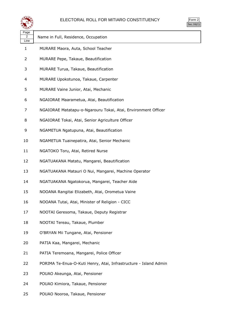

|  | ırm<br>ı |
|--|----------|
|  | ÷        |

| Page<br>2<br>Line | Name in Full, Residence, Occupation                              |
|-------------------|------------------------------------------------------------------|
| 1                 | MURARE Maora, Auta, School Teacher                               |
| 2                 | MURARE Pepe, Takaue, Beautification                              |
| 3                 | MURARE Turua, Takaue, Beautification                             |
| 4                 | MURARE Upokotunoa, Takaue, Carpenter                             |
| 5                 | MURARE Vaine Junior, Atai, Mechanic                              |
| 6                 | NGAIORAE Maarametua, Atai, Beautification                        |
| 7                 | NGAIORAE Matatapu-o-Ngarouru Tokai, Atai, Environment Officer    |
| 8                 | NGAIORAE Tokai, Atai, Senior Agriculture Officer                 |
| 9                 | NGAMETUA Ngatupuna, Atai, Beautification                         |
| 10                | NGAMETUA Tuainepatira, Atai, Senior Mechanic                     |
| 11                | NGATOKO Toru, Atai, Retired Nurse                                |
| 12                | NGATUAKANA Matatu, Mangarei, Beautification                      |
| 13                | NGATUAKANA Matauri O Nui, Mangarei, Machine Operator             |
| 14                | NGATUAKANA Ngatokorua, Mangarei, Teacher Aide                    |
| 15                | NOOANA Rangitai Elizabeth, Atai, Orometua Vaine                  |
| 16                | NOOANA Tutai, Atai, Minister of Religion - CICC                  |
| 17                | NOOTAI Geresoma, Takaue, Deputy Registrar                        |
| 18                | NOOTAI Tereau, Takaue, Plumber                                   |
| 19                | O'BRYAN Mii Tungane, Atai, Pensioner                             |
| 20                | PATIA Kaa, Mangarei, Mechanic                                    |
| 21                | PATIA Teremoana, Mangarei, Police Officer                        |
| 22                | PORIMA Te-Enua-O-Kuti Henry, Atai, Infrastructure - Island Admin |
| 23                | POUAO Akeunga, Atai, Pensioner                                   |
| 24                | POUAO Kimiora, Takaue, Pensioner                                 |

POUAO Nooroa, Takaue, Pensioner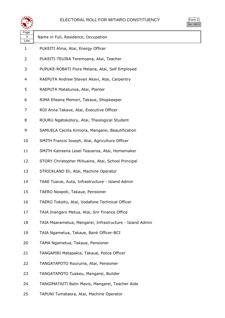

| $\mathsf{m}$ |  |
|--------------|--|
| v.           |  |

| Page<br>3<br>Line | Name in Full, Residence, Occupation                      |
|-------------------|----------------------------------------------------------|
| $\mathbf{1}$      | PUKEITI Alma, Atai, Energy Officer                       |
| 2                 | PUKEITI-TEUIRA Teremoana, Atai, Teacher                  |
| 3                 | PUPUKE-ROBATI Flora Melana, Atai, Self Employed          |
| 4                 | RAEPUTA Andrew Steven Akavi, Atai, Carpentry             |
| 5                 | RAEPUTA Matatunoa, Atai, Planter                         |
| 6                 | RIMA Elleana Memori, Takaue, Shopkeeper                  |
| 7                 | ROI Anna Takave, Atai, Executive Officer                 |
| 8                 | ROURU Ngatokotoru, Atai, Theological Student             |
| 9                 | SAMUELA Cecilia Kimiora, Mangarei, Beautification        |
| 10                | SMITH Francis Joseph, Atai, Agriculture Officer          |
| 11                | SMITH Katreena Lesel Teaueroa, Atai, Homemaker           |
| 12                | STORY Christopher Miituaine, Atai, School Principal      |
| 13                | STRICKLAND Eli, Atai, Machine Operator                   |
| 14                | TAAE Tuavai, Auta, Infrastructure - Island Admin         |
| 15                | TAERO Noopoti, Takaue, Pensioner                         |
| 16                | TAERO Tokoitu, Atai, Vodafone Technical Officer          |
| 17                | TAIA Inangaro Metua, Atai, Snr Finance Office            |
| 18                | TAIA Maarametua, Mangarei, Infrastructure - Island Admin |
| 19                | TAIA Ngametua, Takaue, Bank Officer-BCI                  |
| 20                | TAMA Ngametua, Takaue, Pensioner                         |
| 21                | TANGAPIRI Matapakia, Takaue, Police Officer              |
| 22                | TANGATAPOTO Rouruina, Atai, Pensioner                    |
| 23                | TANGATAPOTO Tuakeu, Mangarei, Builder                    |
| 24                | TANGIMATAITI Balin Mavis, Mangarei, Teacher Aide         |
| 25                | TAPUNI Tumataora, Atai, Machine Operator                 |